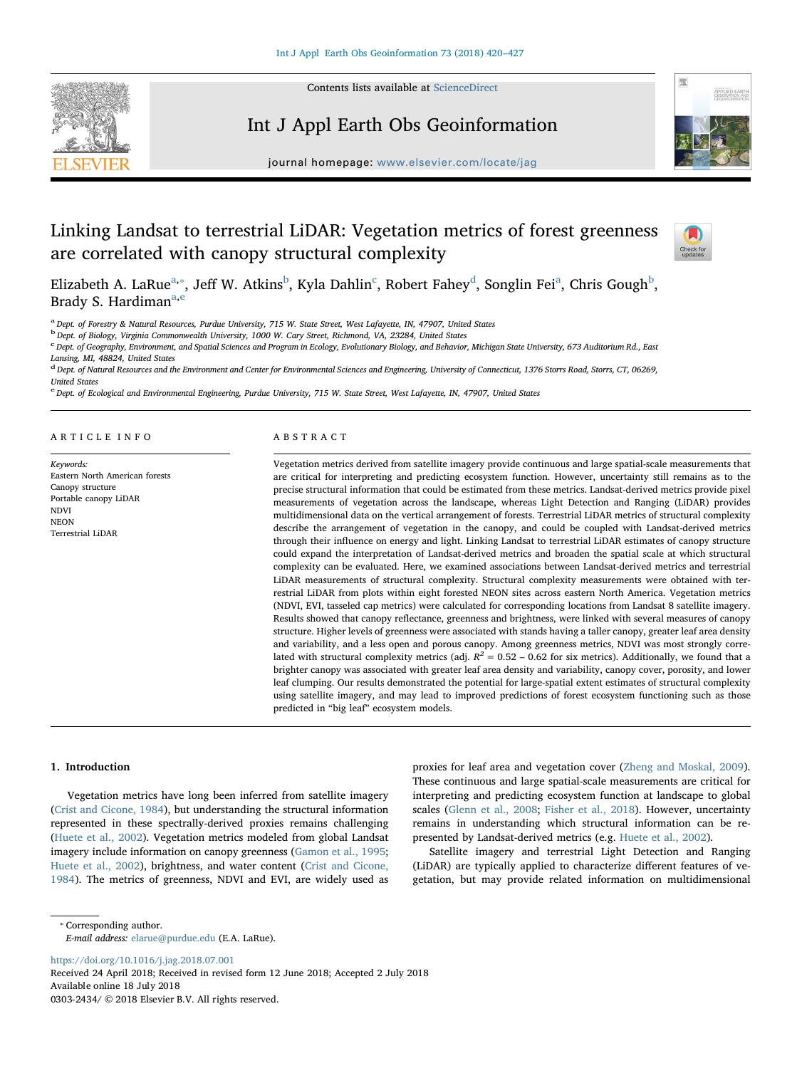

Contents lists available at [ScienceDirect](http://www.sciencedirect.com/science/journal/03032434)

## Int J Appl Earth Obs Geoinformation



journal homepage: [www.elsevier.com/locate/jag](https://www.elsevier.com/locate/jag)

# Linking Landsat to terrestrial LiDAR: Vegetation metrics of forest greenness are correlated with canopy structural complexity



Eliz[a](#page-0-0)[b](#page-0-2)eth A. LaRue $^{\rm a, *},$  Jeff W. Atkins $^{\rm b}$ , Kyla Dahlin $^{\rm c}$  $^{\rm c}$  $^{\rm c}$ , Robert Fahey $^{\rm d}$  $^{\rm d}$  $^{\rm d}$ , Songlin Fei $^{\rm a}$ , Chris Gough $^{\rm b}$ , Br[a](#page-0-0)dy S. Hardiman<sup>a,[e](#page-0-5)</sup>

<span id="page-0-0"></span>a Dept. of Forestry & Natural Resources, Purdue University, 715 W. State Street, West Lafayette, IN, 47907, United States

<span id="page-0-2"></span><sup>b</sup> Dept. of Biology, Virginia Commonwealth University, 1000 W. Cary Street, Richmond, VA, 23284, United States

<span id="page-0-3"></span>c Dept. of Geography, Environment, and Spatial Sciences and Program in Ecology, Evolutionary Biology, and Behavior, Michigan State University, 673 Auditorium Rd., East Lansing, MI, 48824, United States

<span id="page-0-4"></span><sup>d</sup> Dept. of Natural Resources and the Environment and Center for Environmental Sciences and Engineering, University of Connecticut, 1376 Storrs Road, Storrs, CT, 06269,

<span id="page-0-5"></span>United States  $e$  Dept. of Ecological and Environmental Engineering, Purdue University, 715 W. State Street, West Lafayette, IN, 47907, United States

## ARTICLE INFO

Keywords: Eastern North American forests Canopy structure Portable canopy LiDAR NDVI NEON Terrestrial LiDAR

#### ABSTRACT

Vegetation metrics derived from satellite imagery provide continuous and large spatial-scale measurements that are critical for interpreting and predicting ecosystem function. However, uncertainty still remains as to the precise structural information that could be estimated from these metrics. Landsat-derived metrics provide pixel measurements of vegetation across the landscape, whereas Light Detection and Ranging (LiDAR) provides multidimensional data on the vertical arrangement of forests. Terrestrial LiDAR metrics of structural complexity describe the arrangement of vegetation in the canopy, and could be coupled with Landsat-derived metrics through their influence on energy and light. Linking Landsat to terrestrial LiDAR estimates of canopy structure could expand the interpretation of Landsat-derived metrics and broaden the spatial scale at which structural complexity can be evaluated. Here, we examined associations between Landsat-derived metrics and terrestrial LiDAR measurements of structural complexity. Structural complexity measurements were obtained with terrestrial LiDAR from plots within eight forested NEON sites across eastern North America. Vegetation metrics (NDVI, EVI, tasseled cap metrics) were calculated for corresponding locations from Landsat 8 satellite imagery. Results showed that canopy reflectance, greenness and brightness, were linked with several measures of canopy structure. Higher levels of greenness were associated with stands having a taller canopy, greater leaf area density and variability, and a less open and porous canopy. Among greenness metrics, NDVI was most strongly correlated with structural complexity metrics (adj.  $R^2 = 0.52 - 0.62$  for six metrics). Additionally, we found that a brighter canopy was associated with greater leaf area density and variability, canopy cover, porosity, and lower leaf clumping. Our results demonstrated the potential for large-spatial extent estimates of structural complexity using satellite imagery, and may lead to improved predictions of forest ecosystem functioning such as those predicted in "big leaf" ecosystem models.

#### 1. Introduction

Vegetation metrics have long been inferred from satellite imagery ([Crist and Cicone, 1984\)](#page-6-0), but understanding the structural information represented in these spectrally-derived proxies remains challenging ([Huete et al., 2002\)](#page-6-1). Vegetation metrics modeled from global Landsat imagery include information on canopy greenness [\(Gamon et al., 1995](#page-6-2); [Huete et al., 2002\)](#page-6-1), brightness, and water content [\(Crist and Cicone,](#page-6-0) [1984\)](#page-6-0). The metrics of greenness, NDVI and EVI, are widely used as proxies for leaf area and vegetation cover [\(Zheng and Moskal, 2009](#page-7-0)). These continuous and large spatial-scale measurements are critical for interpreting and predicting ecosystem function at landscape to global scales [\(Glenn et al., 2008](#page-6-3); [Fisher et al., 2018\)](#page-6-4). However, uncertainty remains in understanding which structural information can be represented by Landsat-derived metrics (e.g. [Huete et al., 2002\)](#page-6-1).

Satellite imagery and terrestrial Light Detection and Ranging (LiDAR) are typically applied to characterize different features of vegetation, but may provide related information on multidimensional

<span id="page-0-1"></span>⁎ Corresponding author.

E-mail address: [elarue@purdue.edu](mailto:elarue@purdue.edu) (E.A. LaRue).

<https://doi.org/10.1016/j.jag.2018.07.001> Received 24 April 2018; Received in revised form 12 June 2018; Accepted 2 July 2018 Available online 18 July 2018 0303-2434/ © 2018 Elsevier B.V. All rights reserved.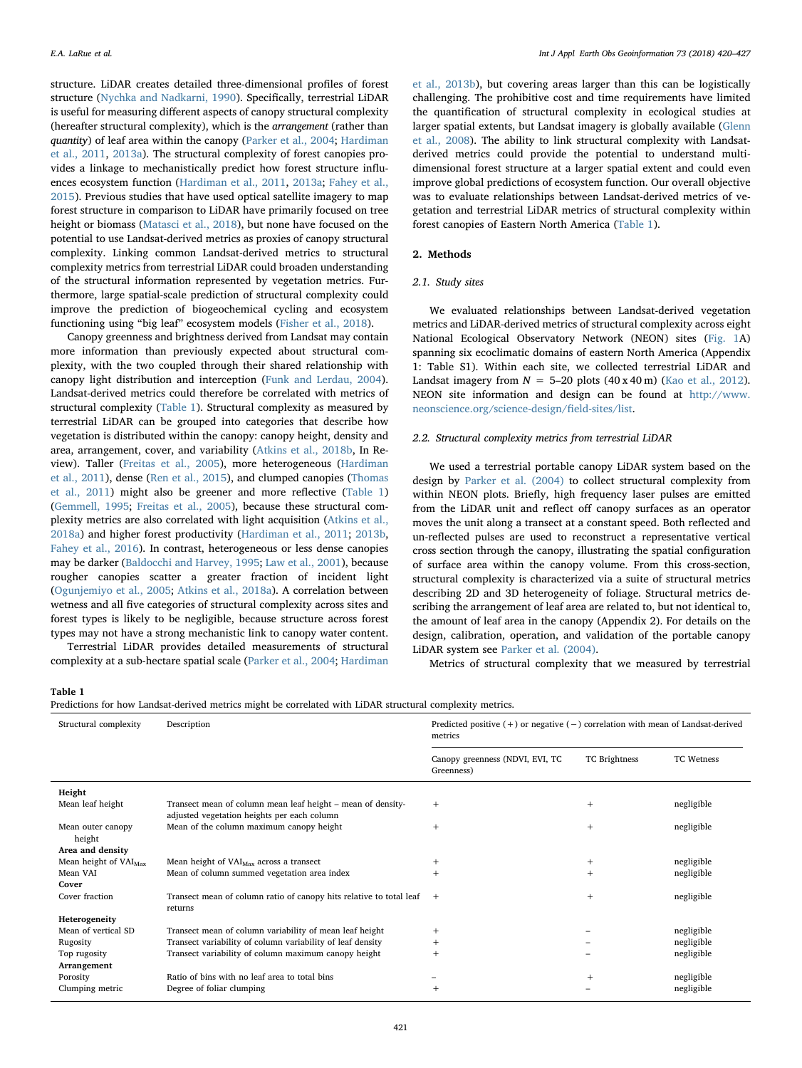structure. LiDAR creates detailed three-dimensional profiles of forest structure ([Nychka and Nadkarni, 1990](#page-6-5)). Specifically, terrestrial LiDAR is useful for measuring different aspects of canopy structural complexity (hereafter structural complexity), which is the arrangement (rather than quantity) of leaf area within the canopy ([Parker et al., 2004;](#page-7-1) [Hardiman](#page-6-6) [et al., 2011,](#page-6-6) [2013a\)](#page-6-7). The structural complexity of forest canopies provides a linkage to mechanistically predict how forest structure influences ecosystem function [\(Hardiman et al., 2011,](#page-6-6) [2013a;](#page-6-7) [Fahey et al.,](#page-6-8) [2015\)](#page-6-8). Previous studies that have used optical satellite imagery to map forest structure in comparison to LiDAR have primarily focused on tree height or biomass [\(Matasci et al., 2018](#page-6-9)), but none have focused on the potential to use Landsat-derived metrics as proxies of canopy structural complexity. Linking common Landsat-derived metrics to structural complexity metrics from terrestrial LiDAR could broaden understanding of the structural information represented by vegetation metrics. Furthermore, large spatial-scale prediction of structural complexity could improve the prediction of biogeochemical cycling and ecosystem functioning using "big leaf" ecosystem models ([Fisher et al., 2018\)](#page-6-4).

Canopy greenness and brightness derived from Landsat may contain more information than previously expected about structural complexity, with the two coupled through their shared relationship with canopy light distribution and interception [\(Funk and Lerdau, 2004](#page-6-10)). Landsat-derived metrics could therefore be correlated with metrics of structural complexity [\(Table 1\)](#page-1-0). Structural complexity as measured by terrestrial LiDAR can be grouped into categories that describe how vegetation is distributed within the canopy: canopy height, density and area, arrangement, cover, and variability ([Atkins et al., 2018b,](#page-6-11) In Review). Taller ([Freitas et al., 2005](#page-6-12)), more heterogeneous [\(Hardiman](#page-6-6) [et al., 2011](#page-6-6)), dense ([Ren et al., 2015](#page-7-2)), and clumped canopies ([Thomas](#page-7-3) [et al., 2011\)](#page-7-3) might also be greener and more reflective [\(Table 1\)](#page-1-0) ([Gemmell, 1995;](#page-6-13) [Freitas et al., 2005\)](#page-6-12), because these structural complexity metrics are also correlated with light acquisition [\(Atkins et al.,](#page-6-14) [2018a\)](#page-6-14) and higher forest productivity [\(Hardiman et al., 2011;](#page-6-6) [2013b](#page-6-15), [Fahey et al., 2016](#page-6-16)). In contrast, heterogeneous or less dense canopies may be darker [\(Baldocchi and Harvey, 1995;](#page-6-17) [Law et al., 2001\)](#page-6-18), because rougher canopies scatter a greater fraction of incident light ([Ogunjemiyo](#page-6-19) et al., 2005; [Atkins et al., 2018a\)](#page-6-14). A correlation between wetness and all five categories of structural complexity across sites and forest types is likely to be negligible, because structure across forest types may not have a strong mechanistic link to canopy water content.

Terrestrial LiDAR provides detailed measurements of structural complexity at a sub-hectare spatial scale [\(Parker et al., 2004;](#page-7-1) [Hardiman](#page-6-15)

[et al., 2013b](#page-6-15)), but covering areas larger than this can be logistically challenging. The prohibitive cost and time requirements have limited the quantification of structural complexity in ecological studies at larger spatial extents, but Landsat imagery is globally available ([Glenn](#page-6-3) [et al., 2008](#page-6-3)). The ability to link structural complexity with Landsatderived metrics could provide the potential to understand multidimensional forest structure at a larger spatial extent and could even improve global predictions of ecosystem function. Our overall objective was to evaluate relationships between Landsat-derived metrics of vegetation and terrestrial LiDAR metrics of structural complexity within forest canopies of Eastern North America ([Table 1\)](#page-1-0).

## 2. Methods

#### 2.1. Study sites

We evaluated relationships between Landsat-derived vegetation metrics and LiDAR-derived metrics of structural complexity across eight National Ecological Observatory Network (NEON) sites [\(Fig. 1](#page-2-0)A) spanning six ecoclimatic domains of eastern North America (Appendix 1: Table S1). Within each site, we collected terrestrial LiDAR and Landsat imagery from  $N = 5-20$  plots  $(40 \times 40 \text{ m})$  [\(Kao et al., 2012](#page-6-20)). NEON site information and design can be found at [http://www.](http://www.neonscience.org/science-design/field-sites/list) [neonscience.org/science-design/](http://www.neonscience.org/science-design/field-sites/list)field-sites/list.

## 2.2. Structural complexity metrics from terrestrial LiDAR

We used a terrestrial portable canopy LiDAR system based on the design by [Parker et al. \(2004\)](#page-7-1) to collect structural complexity from within NEON plots. Briefly, high frequency laser pulses are emitted from the LiDAR unit and reflect off canopy surfaces as an operator moves the unit along a transect at a constant speed. Both reflected and un-reflected pulses are used to reconstruct a representative vertical cross section through the canopy, illustrating the spatial configuration of surface area within the canopy volume. From this cross-section, structural complexity is characterized via a suite of structural metrics describing 2D and 3D heterogeneity of foliage. Structural metrics describing the arrangement of leaf area are related to, but not identical to, the amount of leaf area in the canopy (Appendix 2). For details on the design, calibration, operation, and validation of the portable canopy LiDAR system see [Parker et al. \(2004\)](#page-7-1).

Metrics of structural complexity that we measured by terrestrial

<span id="page-1-0"></span>Table 1

Predictions for how Landsat-derived metrics might be correlated with LiDAR structural complexity metrics.

| Structural complexity       | Description                                                                                                | Predicted positive $(+)$ or negative $(-)$ correlation with mean of Landsat-derived<br>metrics |               |                   |
|-----------------------------|------------------------------------------------------------------------------------------------------------|------------------------------------------------------------------------------------------------|---------------|-------------------|
|                             |                                                                                                            | Canopy greenness (NDVI, EVI, TC<br>Greenness)                                                  | TC Brightness | <b>TC</b> Wetness |
| Height                      |                                                                                                            |                                                                                                |               |                   |
| Mean leaf height            | Transect mean of column mean leaf height – mean of density-<br>adjusted vegetation heights per each column | $^{+}$                                                                                         | $+$           | negligible        |
| Mean outer canopy<br>height | Mean of the column maximum canopy height                                                                   | $^{+}$                                                                                         | $^{+}$        | negligible        |
| Area and density            |                                                                                                            |                                                                                                |               |                   |
| Mean height of $VAIMax$     | Mean height of $VAIMax$ across a transect                                                                  | $^+$                                                                                           | $+$           | negligible        |
| Mean VAI                    | Mean of column summed vegetation area index                                                                | $^{+}$                                                                                         | $^{+}$        | negligible        |
| Cover                       |                                                                                                            |                                                                                                |               |                   |
| Cover fraction              | Transect mean of column ratio of canopy hits relative to total leaf<br>returns                             | $+$                                                                                            | $^{+}$        | negligible        |
| Heterogeneity               |                                                                                                            |                                                                                                |               |                   |
| Mean of vertical SD         | Transect mean of column variability of mean leaf height                                                    | $^{+}$                                                                                         |               | negligible        |
| Rugosity                    | Transect variability of column variability of leaf density                                                 | $^{+}$                                                                                         |               | negligible        |
| Top rugosity                | Transect variability of column maximum canopy height                                                       | $^+$                                                                                           |               | negligible        |
| Arrangement                 |                                                                                                            |                                                                                                |               |                   |
| Porosity                    | Ratio of bins with no leaf area to total bins                                                              |                                                                                                | $^{+}$        | negligible        |
| Clumping metric             | Degree of foliar clumping                                                                                  | $^+$                                                                                           |               | negligible        |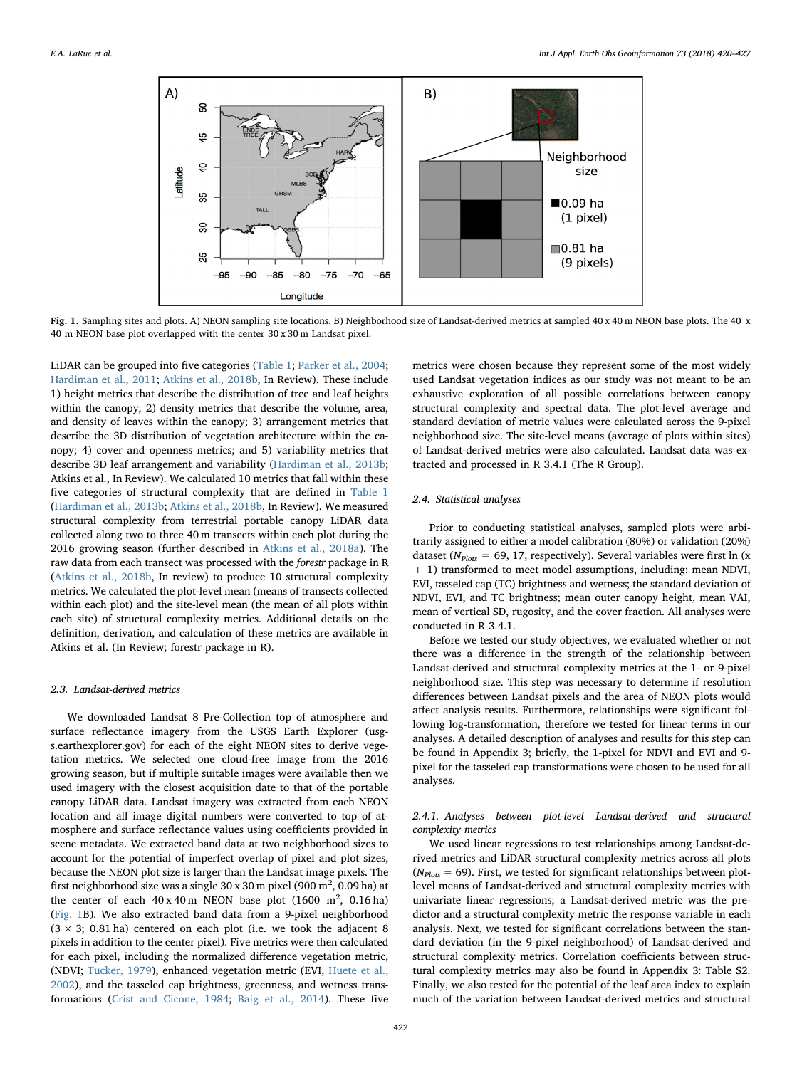<span id="page-2-0"></span>

Fig. 1. Sampling sites and plots. A) NEON sampling site locations. B) Neighborhood size of Landsat-derived metrics at sampled 40 x 40 m NEON base plots. The 40 x 40 m NEON base plot overlapped with the center 30 x 30 m Landsat pixel.

LiDAR can be grouped into five categories ([Table 1](#page-1-0); [Parker et al., 2004](#page-7-1); [Hardiman et al., 2011](#page-6-6); [Atkins et al., 2018b](#page-6-11), In Review). These include 1) height metrics that describe the distribution of tree and leaf heights within the canopy; 2) density metrics that describe the volume, area, and density of leaves within the canopy; 3) arrangement metrics that describe the 3D distribution of vegetation architecture within the canopy; 4) cover and openness metrics; and 5) variability metrics that describe 3D leaf arrangement and variability [\(Hardiman et al., 2013b](#page-6-15); Atkins et al., In Review). We calculated 10 metrics that fall within these five categories of structural complexity that are defined in [Table 1](#page-1-0) ([Hardiman et al., 2013b](#page-6-15); [Atkins et al., 2018b,](#page-6-11) In Review). We measured structural complexity from terrestrial portable canopy LiDAR data collected along two to three 40 m transects within each plot during the 2016 growing season (further described in [Atkins et al., 2018a\)](#page-6-14). The raw data from each transect was processed with the forestr package in R ([Atkins et al., 2018b,](#page-6-11) In review) to produce 10 structural complexity metrics. We calculated the plot-level mean (means of transects collected within each plot) and the site-level mean (the mean of all plots within each site) of structural complexity metrics. Additional details on the definition, derivation, and calculation of these metrics are available in Atkins et al. (In Review; forestr package in R).

#### 2.3. Landsat-derived metrics

We downloaded Landsat 8 Pre-Collection top of atmosphere and surface reflectance imagery from the USGS Earth Explorer (usgs.earthexplorer.gov) for each of the eight NEON sites to derive vegetation metrics. We selected one cloud-free image from the 2016 growing season, but if multiple suitable images were available then we used imagery with the closest acquisition date to that of the portable canopy LiDAR data. Landsat imagery was extracted from each NEON location and all image digital numbers were converted to top of atmosphere and surface reflectance values using coefficients provided in scene metadata. We extracted band data at two neighborhood sizes to account for the potential of imperfect overlap of pixel and plot sizes, because the NEON plot size is larger than the Landsat image pixels. The first neighborhood size was a single 30 x 30 m pixel (900 m $^2$ , 0.09 ha) at the center of each  $40 \times 40$  m NEON base plot (1600 m<sup>2</sup>, 0.16 ha) ([Fig. 1B](#page-2-0)). We also extracted band data from a 9-pixel neighborhood  $(3 \times 3; 0.81$  ha) centered on each plot (i.e. we took the adjacent 8 pixels in addition to the center pixel). Five metrics were then calculated for each pixel, including the normalized difference vegetation metric, (NDVI; [Tucker, 1979\)](#page-7-4), enhanced vegetation metric (EVI, [Huete et al.,](#page-6-1) [2002\)](#page-6-1), and the tasseled cap brightness, greenness, and wetness transformations [\(Crist and Cicone, 1984](#page-6-0); [Baig et al., 2014](#page-6-21)). These five metrics were chosen because they represent some of the most widely used Landsat vegetation indices as our study was not meant to be an exhaustive exploration of all possible correlations between canopy structural complexity and spectral data. The plot-level average and standard deviation of metric values were calculated across the 9-pixel neighborhood size. The site-level means (average of plots within sites) of Landsat-derived metrics were also calculated. Landsat data was extracted and processed in R 3.4.1 (The R Group).

## 2.4. Statistical analyses

Prior to conducting statistical analyses, sampled plots were arbitrarily assigned to either a model calibration (80%) or validation (20%) dataset ( $N_{Plots}$  = 69, 17, respectively). Several variables were first ln (x + 1) transformed to meet model assumptions, including: mean NDVI, EVI, tasseled cap (TC) brightness and wetness; the standard deviation of NDVI, EVI, and TC brightness; mean outer canopy height, mean VAI, mean of vertical SD, rugosity, and the cover fraction. All analyses were conducted in R 3.4.1.

Before we tested our study objectives, we evaluated whether or not there was a difference in the strength of the relationship between Landsat-derived and structural complexity metrics at the 1- or 9-pixel neighborhood size. This step was necessary to determine if resolution differences between Landsat pixels and the area of NEON plots would affect analysis results. Furthermore, relationships were significant following log-transformation, therefore we tested for linear terms in our analyses. A detailed description of analyses and results for this step can be found in Appendix 3; briefly, the 1-pixel for NDVI and EVI and 9 pixel for the tasseled cap transformations were chosen to be used for all analyses.

## <span id="page-2-1"></span>2.4.1. Analyses between plot-level Landsat-derived and structural complexity metrics

We used linear regressions to test relationships among Landsat-derived metrics and LiDAR structural complexity metrics across all plots  $(N_{Plots} = 69)$ . First, we tested for significant relationships between plotlevel means of Landsat-derived and structural complexity metrics with univariate linear regressions; a Landsat-derived metric was the predictor and a structural complexity metric the response variable in each analysis. Next, we tested for significant correlations between the standard deviation (in the 9-pixel neighborhood) of Landsat-derived and structural complexity metrics. Correlation coefficients between structural complexity metrics may also be found in Appendix 3: Table S2. Finally, we also tested for the potential of the leaf area index to explain much of the variation between Landsat-derived metrics and structural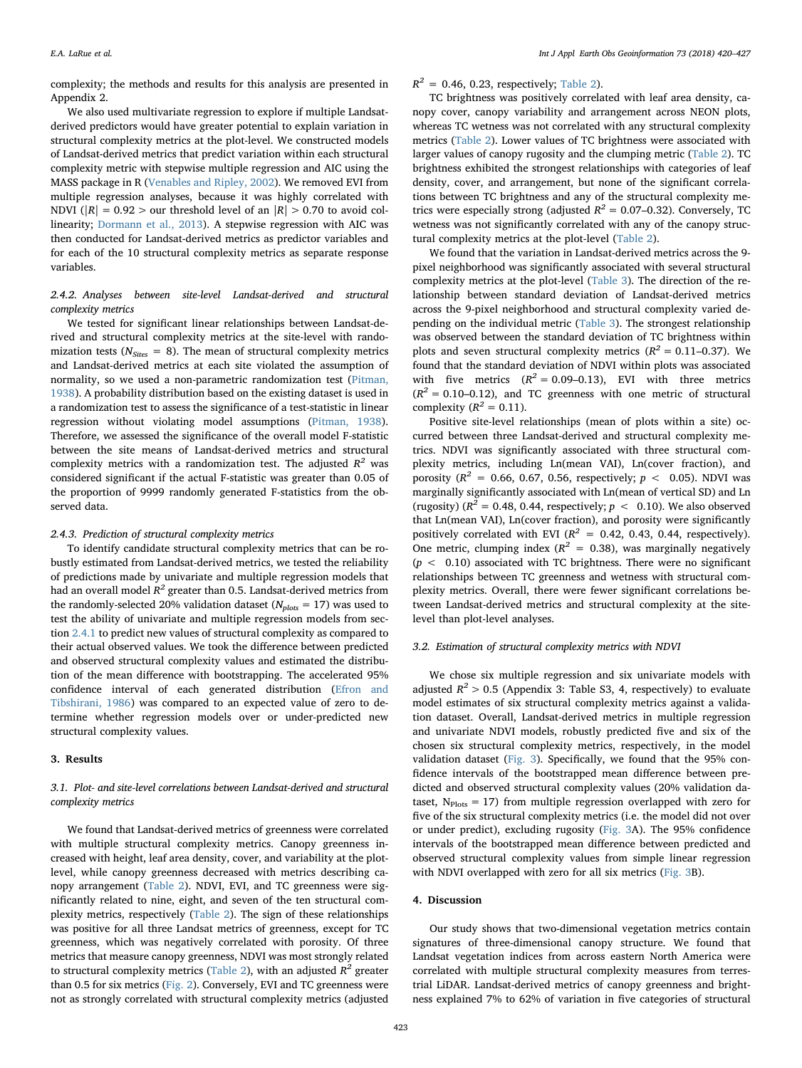complexity; the methods and results for this analysis are presented in Appendix 2.

We also used multivariate regression to explore if multiple Landsatderived predictors would have greater potential to explain variation in structural complexity metrics at the plot-level. We constructed models of Landsat-derived metrics that predict variation within each structural complexity metric with stepwise multiple regression and AIC using the MASS package in R [\(Venables and Ripley, 2002\)](#page-7-5). We removed EVI from multiple regression analyses, because it was highly correlated with NDVI ( $|R| = 0.92$  > our threshold level of an  $|R| > 0.70$  to avoid collinearity; [Dormann et al., 2013\)](#page-6-22). A stepwise regression with AIC was then conducted for Landsat-derived metrics as predictor variables and for each of the 10 structural complexity metrics as separate response variables.

## 2.4.2. Analyses between site-level Landsat-derived and structural complexity metrics

We tested for significant linear relationships between Landsat-derived and structural complexity metrics at the site-level with randomization tests ( $N_{\text{Sites}} = 8$ ). The mean of structural complexity metrics and Landsat-derived metrics at each site violated the assumption of normality, so we used a non-parametric randomization test [\(Pitman,](#page-7-6) [1938\)](#page-7-6). A probability distribution based on the existing dataset is used in a randomization test to assess the significance of a test-statistic in linear regression without violating model assumptions ([Pitman, 1938](#page-7-6)). Therefore, we assessed the significance of the overall model F-statistic between the site means of Landsat-derived metrics and structural complexity metrics with a randomization test. The adjusted  $R^2$  was considered significant if the actual F-statistic was greater than 0.05 of the proportion of 9999 randomly generated F-statistics from the observed data.

#### 2.4.3. Prediction of structural complexity metrics

To identify candidate structural complexity metrics that can be robustly estimated from Landsat-derived metrics, we tested the reliability of predictions made by univariate and multiple regression models that had an overall model  $R^2$  greater than 0.5. Landsat-derived metrics from the randomly-selected 20% validation dataset ( $N_{plots}$  = 17) was used to test the ability of univariate and multiple regression models from section [2.4.1](#page-2-1) to predict new values of structural complexity as compared to their actual observed values. We took the difference between predicted and observed structural complexity values and estimated the distribution of the mean difference with bootstrapping. The accelerated 95% confidence interval of each generated distribution [\(Efron and](#page-6-23) [Tibshirani, 1986](#page-6-23)) was compared to an expected value of zero to determine whether regression models over or under-predicted new structural complexity values.

#### 3. Results

## 3.1. Plot- and site-level correlations between Landsat-derived and structural complexity metrics

We found that Landsat-derived metrics of greenness were correlated with multiple structural complexity metrics. Canopy greenness increased with height, leaf area density, cover, and variability at the plotlevel, while canopy greenness decreased with metrics describing canopy arrangement ([Table 2](#page-4-0)). NDVI, EVI, and TC greenness were significantly related to nine, eight, and seven of the ten structural complexity metrics, respectively ([Table 2\)](#page-4-0). The sign of these relationships was positive for all three Landsat metrics of greenness, except for TC greenness, which was negatively correlated with porosity. Of three metrics that measure canopy greenness, NDVI was most strongly related to structural complexity metrics ([Table 2](#page-4-0)), with an adjusted  $R^2$  greater than 0.5 for six metrics [\(Fig. 2](#page-4-1)). Conversely, EVI and TC greenness were not as strongly correlated with structural complexity metrics (adjusted

 $R<sup>2</sup> = 0.46, 0.23$ , respectively; [Table 2](#page-4-0)).

TC brightness was positively correlated with leaf area density, canopy cover, canopy variability and arrangement across NEON plots, whereas TC wetness was not correlated with any structural complexity metrics [\(Table 2\)](#page-4-0). Lower values of TC brightness were associated with larger values of canopy rugosity and the clumping metric [\(Table 2](#page-4-0)). TC brightness exhibited the strongest relationships with categories of leaf density, cover, and arrangement, but none of the significant correlations between TC brightness and any of the structural complexity metrics were especially strong (adjusted  $R^2 = 0.07-0.32$ ). Conversely, TC wetness was not significantly correlated with any of the canopy structural complexity metrics at the plot-level [\(Table 2\)](#page-4-0).

We found that the variation in Landsat-derived metrics across the 9 pixel neighborhood was significantly associated with several structural complexity metrics at the plot-level [\(Table 3](#page-5-0)). The direction of the relationship between standard deviation of Landsat-derived metrics across the 9-pixel neighborhood and structural complexity varied depending on the individual metric [\(Table 3](#page-5-0)). The strongest relationship was observed between the standard deviation of TC brightness within plots and seven structural complexity metrics ( $R^2 = 0.11$ –0.37). We found that the standard deviation of NDVI within plots was associated with five metrics  $(R^2 = 0.09 - 0.13)$ , EVI with three metrics  $(R^2 = 0.10 - 0.12)$ , and TC greenness with one metric of structural complexity ( $R^2 = 0.11$ ).

Positive site-level relationships (mean of plots within a site) occurred between three Landsat-derived and structural complexity metrics. NDVI was significantly associated with three structural complexity metrics, including Ln(mean VAI), Ln(cover fraction), and porosity ( $R^2 = 0.66, 0.67, 0.56$ , respectively;  $p < 0.05$ ). NDVI was marginally significantly associated with Ln(mean of vertical SD) and Ln (rugosity) ( $R^2$  = 0.48, 0.44, respectively;  $p < 0.10$ ). We also observed that Ln(mean VAI), Ln(cover fraction), and porosity were significantly positively correlated with EVI ( $R^2$  = 0.42, 0.43, 0.44, respectively). One metric, clumping index ( $R^2 = 0.38$ ), was marginally negatively  $(p < 0.10)$  associated with TC brightness. There were no significant relationships between TC greenness and wetness with structural complexity metrics. Overall, there were fewer significant correlations between Landsat-derived metrics and structural complexity at the sitelevel than plot-level analyses.

#### 3.2. Estimation of structural complexity metrics with NDVI

We chose six multiple regression and six univariate models with adjusted  $R^2 > 0.5$  (Appendix 3: Table S3, 4, respectively) to evaluate model estimates of six structural complexity metrics against a validation dataset. Overall, Landsat-derived metrics in multiple regression and univariate NDVI models, robustly predicted five and six of the chosen six structural complexity metrics, respectively, in the model validation dataset [\(Fig. 3](#page-5-1)). Specifically, we found that the 95% confidence intervals of the bootstrapped mean difference between predicted and observed structural complexity values (20% validation dataset,  $N<sub>Plots</sub> = 17$ ) from multiple regression overlapped with zero for five of the six structural complexity metrics (i.e. the model did not over or under predict), excluding rugosity [\(Fig. 3](#page-5-1)A). The 95% confidence intervals of the bootstrapped mean difference between predicted and observed structural complexity values from simple linear regression with NDVI overlapped with zero for all six metrics [\(Fig. 3B](#page-5-1)).

## 4. Discussion

Our study shows that two-dimensional vegetation metrics contain signatures of three-dimensional canopy structure. We found that Landsat vegetation indices from across eastern North America were correlated with multiple structural complexity measures from terrestrial LiDAR. Landsat-derived metrics of canopy greenness and brightness explained 7% to 62% of variation in five categories of structural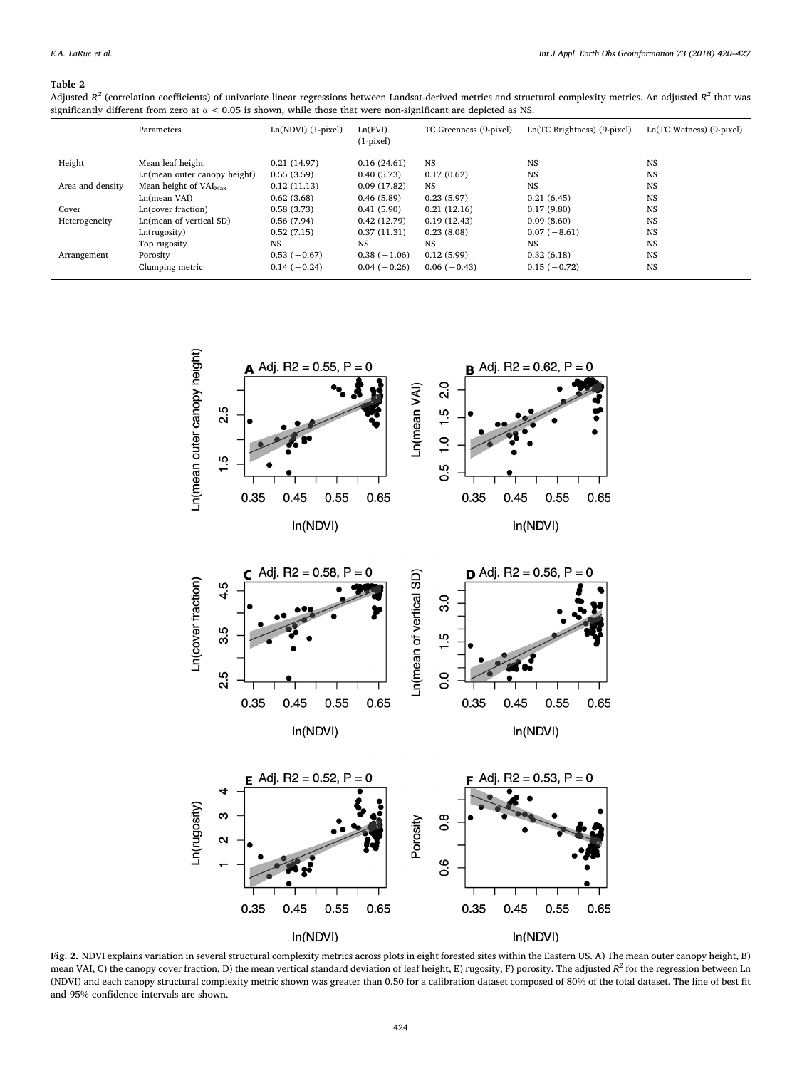#### <span id="page-4-0"></span>Table 2

Adjusted  $R^2$  (correlation coefficients) of univariate linear regressions between Landsat-derived metrics and structural complexity metrics. An adjusted  $R^2$  that was significantly different from zero at  $\alpha$  < 0.05 is shown, while those that were non-significant are depicted as NS.

|                  | Parameters                   | Ln(NDVI) (1-pixel) | Ln(EVI)<br>$(1-pixel)$ | TC Greenness (9-pixel) | Ln(TC Brightness) (9-pixel) | Ln(TC Wetness) (9-pixel) |
|------------------|------------------------------|--------------------|------------------------|------------------------|-----------------------------|--------------------------|
| Height           | Mean leaf height             | 0.21(14.97)        | 0.16(24.61)            | <b>NS</b>              | NS.                         | NS                       |
|                  | Ln(mean outer canopy height) | 0.55(3.59)         | 0.40(5.73)             | 0.17(0.62)             | <b>NS</b>                   | <b>NS</b>                |
| Area and density | Mean height of $VAIMax$      | 0.12(11.13)        | 0.09(17.82)            | <b>NS</b>              | <b>NS</b>                   | <b>NS</b>                |
|                  | Ln(mean VAI)                 | 0.62(3.68)         | 0.46(5.89)             | 0.23(5.97)             | 0.21(6.45)                  | <b>NS</b>                |
| Cover            | Ln(cover fraction)           | 0.58(3.73)         | 0.41(5.90)             | 0.21(12.16)            | 0.17(9.80)                  | <b>NS</b>                |
| Heterogeneity    | Ln(mean of vertical SD)      | 0.56(7.94)         | 0.42(12.79)            | 0.19(12.43)            | 0.09(8.60)                  | <b>NS</b>                |
|                  | Ln(rugosity)                 | 0.52(7.15)         | 0.37(11.31)            | 0.23(8.08)             | $0.07(-8.61)$               | NS                       |
|                  | Top rugosity                 | NS                 | NS.                    | <b>NS</b>              | NS.                         | <b>NS</b>                |
| Arrangement      | Porosity                     | $0.53(-0.67)$      | $0.38(-1.06)$          | 0.12(5.99)             | 0.32(6.18)                  | <b>NS</b>                |
|                  | Clumping metric              | $0.14(-0.24)$      | $0.04(-0.26)$          | $0.06(-0.43)$          | $0.15(-0.72)$               | NS                       |

<span id="page-4-1"></span>

Fig. 2. NDVI explains variation in several structural complexity metrics across plots in eight forested sites within the Eastern US. A) The mean outer canopy height, B) mean VAI, C) the canopy cover fraction, D) the mean vertical standard deviation of leaf height, E) rugosity, F) porosity. The adjusted  $R^2$  for the regression between Ln (NDVI) and each canopy structural complexity metric shown was greater than 0.50 for a calibration dataset composed of 80% of the total dataset. The line of best fit and 95% confidence intervals are shown.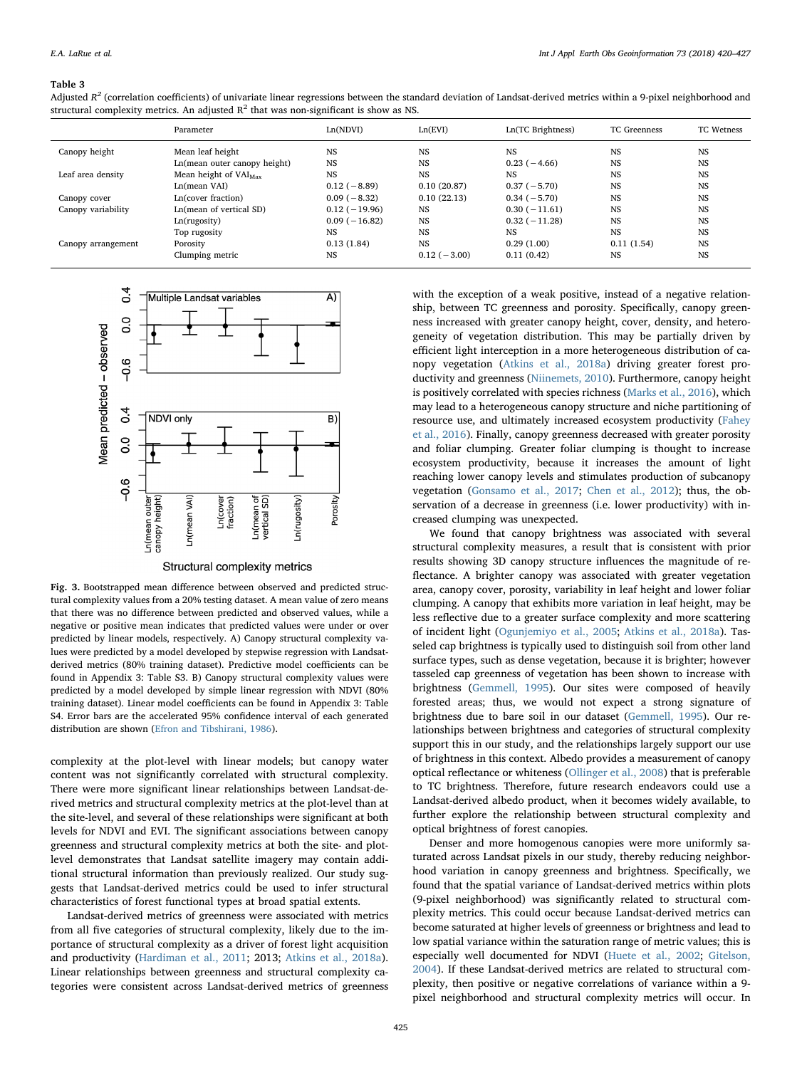#### <span id="page-5-0"></span>Table 3

|                    | Parameter                    | Ln(NDVI)       | Ln(EVI)       | Ln(TC Brightness) | TC Greenness | TC Wetness |
|--------------------|------------------------------|----------------|---------------|-------------------|--------------|------------|
| Canopy height      | Mean leaf height             | <b>NS</b>      | <b>NS</b>     | <b>NS</b>         | <b>NS</b>    | <b>NS</b>  |
|                    | Ln(mean outer canopy height) | NS             | NS            | $0.23(-4.66)$     | <b>NS</b>    | NS         |
| Leaf area density  | Mean height of $VAIMax$      | <b>NS</b>      | <b>NS</b>     | <b>NS</b>         | <b>NS</b>    | NS         |
|                    | Ln(mean VAI)                 | $0.12(-8.89)$  | 0.10(20.87)   | $0.37(-5.70)$     | <b>NS</b>    | NS         |
| Canopy cover       | Ln(cover fraction)           | $0.09(-8.32)$  | 0.10(22.13)   | $0.34(-5.70)$     | <b>NS</b>    | NS         |
| Canopy variability | Ln(mean of vertical SD)      | $0.12(-19.96)$ | <b>NS</b>     | $0.30(-11.61)$    | <b>NS</b>    | NS         |
|                    | Ln(rugosity)                 | $0.09(-16.82)$ | <b>NS</b>     | $0.32(-11.28)$    | <b>NS</b>    | <b>NS</b>  |
|                    | Top rugosity                 | <b>NS</b>      | <b>NS</b>     | NS.               | <b>NS</b>    | <b>NS</b>  |
| Canopy arrangement | Porosity                     | 0.13(1.84)     | <b>NS</b>     | 0.29(1.00)        | 0.11(1.54)   | NS         |
|                    | Clumping metric              | <b>NS</b>      | $0.12(-3.00)$ | 0.11(0.42)        | <b>NS</b>    | <b>NS</b>  |



<span id="page-5-1"></span>

Fig. 3. Bootstrapped mean difference between observed and predicted structural complexity values from a 20% testing dataset. A mean value of zero means that there was no difference between predicted and observed values, while a negative or positive mean indicates that predicted values were under or over predicted by linear models, respectively. A) Canopy structural complexity values were predicted by a model developed by stepwise regression with Landsatderived metrics (80% training dataset). Predictive model coefficients can be found in Appendix 3: Table S3. B) Canopy structural complexity values were predicted by a model developed by simple linear regression with NDVI (80% training dataset). Linear model coefficients can be found in Appendix 3: Table S4. Error bars are the accelerated 95% confidence interval of each generated distribution are shown [\(Efron and Tibshirani, 1986\)](#page-6-23).

complexity at the plot-level with linear models; but canopy water content was not significantly correlated with structural complexity. There were more significant linear relationships between Landsat-derived metrics and structural complexity metrics at the plot-level than at the site-level, and several of these relationships were significant at both levels for NDVI and EVI. The significant associations between canopy greenness and structural complexity metrics at both the site- and plotlevel demonstrates that Landsat satellite imagery may contain additional structural information than previously realized. Our study suggests that Landsat-derived metrics could be used to infer structural characteristics of forest functional types at broad spatial extents.

Landsat-derived metrics of greenness were associated with metrics from all five categories of structural complexity, likely due to the importance of structural complexity as a driver of forest light acquisition and productivity [\(Hardiman et al., 2011](#page-6-6); 2013; [Atkins et al., 2018a](#page-6-14)). Linear relationships between greenness and structural complexity categories were consistent across Landsat-derived metrics of greenness

with the exception of a weak positive, instead of a negative relationship, between TC greenness and porosity. Specifically, canopy greenness increased with greater canopy height, cover, density, and heterogeneity of vegetation distribution. This may be partially driven by efficient light interception in a more heterogeneous distribution of canopy vegetation ([Atkins et al., 2018a](#page-6-14)) driving greater forest productivity and greenness [\(Niinemets, 2010](#page-6-24)). Furthermore, canopy height is positively correlated with species richness [\(Marks et al., 2016\)](#page-6-25), which may lead to a heterogeneous canopy structure and niche partitioning of resource use, and ultimately increased ecosystem productivity ([Fahey](#page-6-16) [et al., 2016](#page-6-16)). Finally, canopy greenness decreased with greater porosity and foliar clumping. Greater foliar clumping is thought to increase ecosystem productivity, because it increases the amount of light reaching lower canopy levels and stimulates production of subcanopy vegetation [\(Gonsamo et al., 2017](#page-6-26); [Chen et al., 2012](#page-6-27)); thus, the observation of a decrease in greenness (i.e. lower productivity) with increased clumping was unexpected.

We found that canopy brightness was associated with several structural complexity measures, a result that is consistent with prior results showing 3D canopy structure influences the magnitude of reflectance. A brighter canopy was associated with greater vegetation area, canopy cover, porosity, variability in leaf height and lower foliar clumping. A canopy that exhibits more variation in leaf height, may be less reflective due to a greater surface complexity and more scattering of incident light ([Ogunjemiyo et al., 2005](#page-6-19); [Atkins et al., 2018a\)](#page-6-14). Tasseled cap brightness is typically used to distinguish soil from other land surface types, such as dense vegetation, because it is brighter; however tasseled cap greenness of vegetation has been shown to increase with brightness ([Gemmell, 1995\)](#page-6-13). Our sites were composed of heavily forested areas; thus, we would not expect a strong signature of brightness due to bare soil in our dataset ([Gemmell, 1995](#page-6-13)). Our relationships between brightness and categories of structural complexity support this in our study, and the relationships largely support our use of brightness in this context. Albedo provides a measurement of canopy optical reflectance or whiteness ([Ollinger et al., 2008\)](#page-7-7) that is preferable to TC brightness. Therefore, future research endeavors could use a Landsat-derived albedo product, when it becomes widely available, to further explore the relationship between structural complexity and optical brightness of forest canopies.

Denser and more homogenous canopies were more uniformly saturated across Landsat pixels in our study, thereby reducing neighborhood variation in canopy greenness and brightness. Specifically, we found that the spatial variance of Landsat-derived metrics within plots (9-pixel neighborhood) was significantly related to structural complexity metrics. This could occur because Landsat-derived metrics can become saturated at higher levels of greenness or brightness and lead to low spatial variance within the saturation range of metric values; this is especially well documented for NDVI ([Huete et al., 2002](#page-6-1); [Gitelson,](#page-6-28) [2004\)](#page-6-28). If these Landsat-derived metrics are related to structural complexity, then positive or negative correlations of variance within a 9 pixel neighborhood and structural complexity metrics will occur. In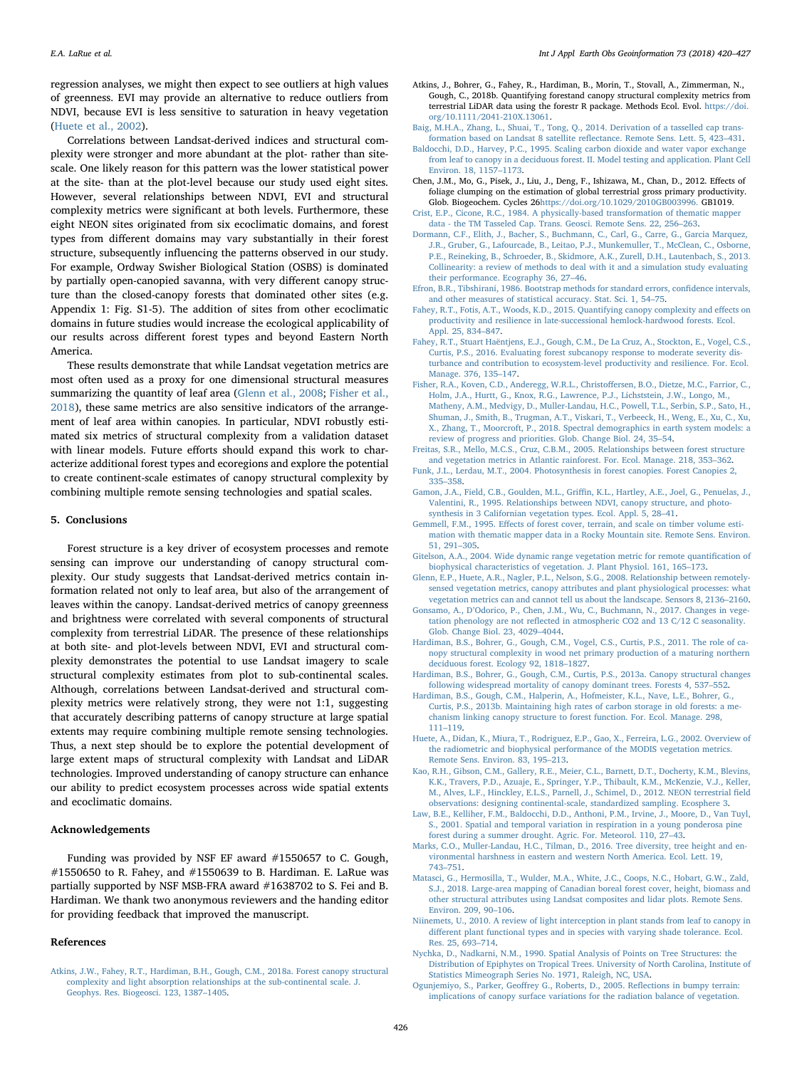regression analyses, we might then expect to see outliers at high values of greenness. EVI may provide an alternative to reduce outliers from NDVI, because EVI is less sensitive to saturation in heavy vegetation ([Huete et al., 2002\)](#page-6-1).

Correlations between Landsat-derived indices and structural complexity were stronger and more abundant at the plot- rather than sitescale. One likely reason for this pattern was the lower statistical power at the site- than at the plot-level because our study used eight sites. However, several relationships between NDVI, EVI and structural complexity metrics were significant at both levels. Furthermore, these eight NEON sites originated from six ecoclimatic domains, and forest types from different domains may vary substantially in their forest structure, subsequently influencing the patterns observed in our study. For example, Ordway Swisher Biological Station (OSBS) is dominated by partially open-canopied savanna, with very different canopy structure than the closed-canopy forests that dominated other sites (e.g. Appendix 1: Fig. S1-5). The addition of sites from other ecoclimatic domains in future studies would increase the ecological applicability of our results across different forest types and beyond Eastern North America.

These results demonstrate that while Landsat vegetation metrics are most often used as a proxy for one dimensional structural measures summarizing the quantity of leaf area ([Glenn et al., 2008](#page-6-3); [Fisher et al.,](#page-6-4) [2018\)](#page-6-4), these same metrics are also sensitive indicators of the arrangement of leaf area within canopies. In particular, NDVI robustly estimated six metrics of structural complexity from a validation dataset with linear models. Future efforts should expand this work to characterize additional forest types and ecoregions and explore the potential to create continent-scale estimates of canopy structural complexity by combining multiple remote sensing technologies and spatial scales.

#### 5. Conclusions

Forest structure is a key driver of ecosystem processes and remote sensing can improve our understanding of canopy structural complexity. Our study suggests that Landsat-derived metrics contain information related not only to leaf area, but also of the arrangement of leaves within the canopy. Landsat-derived metrics of canopy greenness and brightness were correlated with several components of structural complexity from terrestrial LiDAR. The presence of these relationships at both site- and plot-levels between NDVI, EVI and structural complexity demonstrates the potential to use Landsat imagery to scale structural complexity estimates from plot to sub-continental scales. Although, correlations between Landsat-derived and structural complexity metrics were relatively strong, they were not 1:1, suggesting that accurately describing patterns of canopy structure at large spatial extents may require combining multiple remote sensing technologies. Thus, a next step should be to explore the potential development of large extent maps of structural complexity with Landsat and LiDAR technologies. Improved understanding of canopy structure can enhance our ability to predict ecosystem processes across wide spatial extents and ecoclimatic domains.

## Acknowledgements

Funding was provided by NSF EF award #1550657 to C. Gough, #1550650 to R. Fahey, and #1550639 to B. Hardiman. E. LaRue was partially supported by NSF MSB-FRA award #1638702 to S. Fei and B. Hardiman. We thank two anonymous reviewers and the handing editor for providing feedback that improved the manuscript.

#### References

<span id="page-6-14"></span>[Atkins, J.W., Fahey, R.T., Hardiman, B.H., Gough, C.M., 2018a. Forest canopy structural](http://refhub.elsevier.com/S0303-2434(18)30404-5/sbref0005) [complexity and light absorption relationships at the sub-continental scale. J.](http://refhub.elsevier.com/S0303-2434(18)30404-5/sbref0005) [Geophys. Res. Biogeosci. 123, 1387](http://refhub.elsevier.com/S0303-2434(18)30404-5/sbref0005)–1405.

- <span id="page-6-11"></span>Atkins, J., Bohrer, G., Fahey, R., Hardiman, B., Morin, T., Stovall, A., Zimmerman, N., Gough, C., 2018b. Quantifying forestand canopy structural complexity metrics from terrestrial LiDAR data using the forestr R package. Methods Ecol. Evol. [https://doi.](https://doi.org/10.1111/2041-210X.13061) [org/10.1111/2041-210X.13061](https://doi.org/10.1111/2041-210X.13061).
- <span id="page-6-21"></span>[Baig, M.H.A., Zhang, L., Shuai, T., Tong, Q., 2014. Derivation of a tasselled cap trans](http://refhub.elsevier.com/S0303-2434(18)30404-5/sbref0015)[formation based on Landsat 8 satellite re](http://refhub.elsevier.com/S0303-2434(18)30404-5/sbref0015)flectance. Remote Sens. Lett. 5, 423–431.
- <span id="page-6-17"></span>[Baldocchi, D.D., Harvey, P.C., 1995. Scaling carbon dioxide and water vapor exchange](http://refhub.elsevier.com/S0303-2434(18)30404-5/sbref0020) [from leaf to canopy in a deciduous forest. II. Model testing and application. Plant Cell](http://refhub.elsevier.com/S0303-2434(18)30404-5/sbref0020) [Environ. 18, 1157](http://refhub.elsevier.com/S0303-2434(18)30404-5/sbref0020)–1173.
- <span id="page-6-27"></span>Chen, J.M., Mo, G., Pisek, J., Liu, J., Deng, F., Ishizawa, M., Chan, D., 2012. Effects of foliage clumping on the estimation of global terrestrial gross primary productivity. Glob. Biogeochem. Cycles 2[6https://doi.org/10.1029/2010GB003996.](https://doi.org/10.1029/2010GB003996) GB1019.
- <span id="page-6-0"></span>[Crist, E.P., Cicone, R.C., 1984. A physically-based transformation of thematic mapper](http://refhub.elsevier.com/S0303-2434(18)30404-5/sbref0030) [data - the TM Tasseled Cap. Trans. Geosci. Remote Sens. 22, 256](http://refhub.elsevier.com/S0303-2434(18)30404-5/sbref0030)–263.
- <span id="page-6-22"></span>[Dormann, C.F., Elith, J., Bacher, S., Buchmann, C., Carl, G., Carre, G., Garcia Marquez,](http://refhub.elsevier.com/S0303-2434(18)30404-5/sbref0035) [J.R., Gruber, G., Lafourcade, B., Leitao, P.J., Munkemuller, T., McClean, C., Osborne,](http://refhub.elsevier.com/S0303-2434(18)30404-5/sbref0035) [P.E., Reineking, B., Schroeder, B., Skidmore, A.K., Zurell, D.H., Lautenbach, S., 2013.](http://refhub.elsevier.com/S0303-2434(18)30404-5/sbref0035) [Collinearity: a review of methods to deal with it and a simulation study evaluating](http://refhub.elsevier.com/S0303-2434(18)30404-5/sbref0035) [their performance. Ecography 36, 27](http://refhub.elsevier.com/S0303-2434(18)30404-5/sbref0035)–46.
- <span id="page-6-23"></span>[Efron, B.R., Tibshirani, 1986. Bootstrap methods for standard errors, con](http://refhub.elsevier.com/S0303-2434(18)30404-5/sbref0040)fidence intervals, [and other measures of statistical accuracy. Stat. Sci. 1, 54](http://refhub.elsevier.com/S0303-2434(18)30404-5/sbref0040)–75.
- <span id="page-6-8"></span>[Fahey, R.T., Fotis, A.T., Woods, K.D., 2015. Quantifying canopy complexity and e](http://refhub.elsevier.com/S0303-2434(18)30404-5/sbref0045)ffects on [productivity and resilience in late-successional hemlock-hardwood forests. Ecol.](http://refhub.elsevier.com/S0303-2434(18)30404-5/sbref0045) [Appl. 25, 834](http://refhub.elsevier.com/S0303-2434(18)30404-5/sbref0045)–847.
- <span id="page-6-16"></span>[Fahey, R.T., Stuart Haëntjens, E.J., Gough, C.M., De La Cruz, A., Stockton, E., Vogel, C.S.,](http://refhub.elsevier.com/S0303-2434(18)30404-5/sbref0050) [Curtis, P.S., 2016. Evaluating forest subcanopy response to moderate severity dis](http://refhub.elsevier.com/S0303-2434(18)30404-5/sbref0050)[turbance and contribution to ecosystem-level productivity and resilience. For. Ecol.](http://refhub.elsevier.com/S0303-2434(18)30404-5/sbref0050) [Manage. 376, 135](http://refhub.elsevier.com/S0303-2434(18)30404-5/sbref0050)–147.
- <span id="page-6-4"></span>[Fisher, R.A., Koven, C.D., Anderegg, W.R.L., Christo](http://refhub.elsevier.com/S0303-2434(18)30404-5/sbref0055)ffersen, B.O., Dietze, M.C., Farrior, C., [Holm, J.A., Hurtt, G., Knox, R.G., Lawrence, P.J., Lichststein, J.W., Longo, M.,](http://refhub.elsevier.com/S0303-2434(18)30404-5/sbref0055) [Matheny, A.M., Medvigy, D., Muller-Landau, H.C., Powell, T.L., Serbin, S.P., Sato, H.,](http://refhub.elsevier.com/S0303-2434(18)30404-5/sbref0055) [Shuman, J., Smith, B., Trugman, A.T., Viskari, T., Verbeeck, H., Weng, E., Xu, C., Xu,](http://refhub.elsevier.com/S0303-2434(18)30404-5/sbref0055) [X., Zhang, T., Moorcroft, P., 2018. Spectral demographics in earth system models: a](http://refhub.elsevier.com/S0303-2434(18)30404-5/sbref0055) [review of progress and priorities. Glob. Change Biol. 24, 35](http://refhub.elsevier.com/S0303-2434(18)30404-5/sbref0055)–54.
- <span id="page-6-12"></span>[Freitas, S.R., Mello, M.C.S., Cruz, C.B.M., 2005. Relationships between forest structure](http://refhub.elsevier.com/S0303-2434(18)30404-5/sbref0060) [and vegetation metrics in Atlantic rainforest. For. Ecol. Manage. 218, 353](http://refhub.elsevier.com/S0303-2434(18)30404-5/sbref0060)–362.
- <span id="page-6-10"></span>[Funk, J.L., Lerdau, M.T., 2004. Photosynthesis in forest canopies. Forest Canopies 2,](http://refhub.elsevier.com/S0303-2434(18)30404-5/sbref0065) 335–[358](http://refhub.elsevier.com/S0303-2434(18)30404-5/sbref0065).
- <span id="page-6-2"></span>[Gamon, J.A., Field, C.B., Goulden, M.L., Gri](http://refhub.elsevier.com/S0303-2434(18)30404-5/sbref0070)ffin, K.L., Hartley, A.E., Joel, G., Penuelas, J., [Valentini, R., 1995. Relationships between NDVI, canopy structure, and photo](http://refhub.elsevier.com/S0303-2434(18)30404-5/sbref0070)[synthesis in 3 Californian vegetation types. Ecol. Appl. 5, 28](http://refhub.elsevier.com/S0303-2434(18)30404-5/sbref0070)–41.
- <span id="page-6-13"></span>Gemmell, F.M., 1995. Eff[ects of forest cover, terrain, and scale on timber volume esti](http://refhub.elsevier.com/S0303-2434(18)30404-5/sbref0075)[mation with thematic mapper data in a Rocky Mountain site. Remote Sens. Environ.](http://refhub.elsevier.com/S0303-2434(18)30404-5/sbref0075) [51, 291](http://refhub.elsevier.com/S0303-2434(18)30404-5/sbref0075)–305.
- <span id="page-6-28"></span>Gitelson, [A.A., 2004. Wide dynamic range vegetation metric for remote quanti](http://refhub.elsevier.com/S0303-2434(18)30404-5/sbref0080)fication of [biophysical characteristics of vegetation. J. Plant Physiol. 161, 165](http://refhub.elsevier.com/S0303-2434(18)30404-5/sbref0080)–173.
- <span id="page-6-3"></span>[Glenn, E.P., Huete, A.R., Nagler, P.L., Nelson, S.G., 2008. Relationship between remotely](http://refhub.elsevier.com/S0303-2434(18)30404-5/sbref0085)[sensed vegetation metrics, canopy attributes and plant physiological processes: what](http://refhub.elsevier.com/S0303-2434(18)30404-5/sbref0085) [vegetation metrics can and cannot tell us about the landscape. Sensors 8, 2136](http://refhub.elsevier.com/S0303-2434(18)30404-5/sbref0085)–2160.
- <span id="page-6-26"></span>Gonsamo, A., D'[Odorico, P., Chen, J.M., Wu, C., Buchmann, N., 2017. Changes in vege](http://refhub.elsevier.com/S0303-2434(18)30404-5/sbref0090)tation phenology are not refl[ected in atmospheric CO2 and 13 C/12 C seasonality.](http://refhub.elsevier.com/S0303-2434(18)30404-5/sbref0090) [Glob. Change Biol. 23, 4029](http://refhub.elsevier.com/S0303-2434(18)30404-5/sbref0090)–4044.
- <span id="page-6-6"></span>[Hardiman, B.S., Bohrer, G., Gough, C.M., Vogel, C.S., Curtis, P.S., 2011. The role of ca](http://refhub.elsevier.com/S0303-2434(18)30404-5/sbref0095)[nopy structural complexity in wood net primary production of a maturing northern](http://refhub.elsevier.com/S0303-2434(18)30404-5/sbref0095) [deciduous forest. Ecology 92, 1818](http://refhub.elsevier.com/S0303-2434(18)30404-5/sbref0095)–1827.
- <span id="page-6-7"></span>[Hardiman, B.S., Bohrer, G., Gough, C.M., Curtis, P.S., 2013a. Canopy structural changes](http://refhub.elsevier.com/S0303-2434(18)30404-5/sbref0100) [following widespread mortality of canopy dominant trees. Forests 4, 537](http://refhub.elsevier.com/S0303-2434(18)30404-5/sbref0100)–552.
- <span id="page-6-15"></span>[Hardiman, B.S., Gough, C.M., Halperin, A., Hofmeister, K.L., Nave, L.E., Bohrer, G.,](http://refhub.elsevier.com/S0303-2434(18)30404-5/sbref0105) [Curtis, P.S., 2013b. Maintaining high rates of carbon storage in old forests: a me](http://refhub.elsevier.com/S0303-2434(18)30404-5/sbref0105)[chanism linking canopy structure to forest function. For. Ecol. Manage. 298,](http://refhub.elsevier.com/S0303-2434(18)30404-5/sbref0105) 111–[119](http://refhub.elsevier.com/S0303-2434(18)30404-5/sbref0105).
- <span id="page-6-1"></span>[Huete, A., Didan, K., Miura, T., Rodriguez, E.P., Gao, X., Ferreira, L.G., 2002. Overview of](http://refhub.elsevier.com/S0303-2434(18)30404-5/sbref0110) [the radiometric and biophysical performance of the MODIS vegetation metrics.](http://refhub.elsevier.com/S0303-2434(18)30404-5/sbref0110) [Remote Sens. Environ. 83, 195](http://refhub.elsevier.com/S0303-2434(18)30404-5/sbref0110)–213.
- <span id="page-6-20"></span>[Kao, R.H., Gibson, C.M., Gallery, R.E., Meier, C.L., Barnett, D.T., Docherty, K.M., Blevins,](http://refhub.elsevier.com/S0303-2434(18)30404-5/sbref0115) [K.K., Travers, P.D., Azuaje, E., Springer, Y.P., Thibault, K.M., McKenzie, V.J., Keller,](http://refhub.elsevier.com/S0303-2434(18)30404-5/sbref0115) [M., Alves, L.F., Hinckley, E.L.S., Parnell, J., Schimel, D., 2012. NEON terrestrial](http://refhub.elsevier.com/S0303-2434(18)30404-5/sbref0115) field [observations: designing continental-scale, standardized sampling. Ecosphere 3.](http://refhub.elsevier.com/S0303-2434(18)30404-5/sbref0115)
- <span id="page-6-18"></span>[Law, B.E., Kelliher, F.M., Baldocchi, D.D., Anthoni, P.M., Irvine, J., Moore, D., Van Tuyl,](http://refhub.elsevier.com/S0303-2434(18)30404-5/sbref0120) [S., 2001. Spatial and temporal variation in respiration in a young ponderosa pine](http://refhub.elsevier.com/S0303-2434(18)30404-5/sbref0120) [forest during a summer drought. Agric. For. Meteorol. 110, 27](http://refhub.elsevier.com/S0303-2434(18)30404-5/sbref0120)–43.
- <span id="page-6-25"></span>[Marks, C.O., Muller-Landau, H.C., Tilman, D., 2016. Tree diversity, tree height and en](http://refhub.elsevier.com/S0303-2434(18)30404-5/sbref0125)[vironmental harshness in eastern and western North America. Ecol. Lett. 19,](http://refhub.elsevier.com/S0303-2434(18)30404-5/sbref0125) 743–[751](http://refhub.elsevier.com/S0303-2434(18)30404-5/sbref0125).
- <span id="page-6-9"></span>[Matasci, G., Hermosilla, T., Wulder, M.A., White, J.C., Coops, N.C., Hobart, G.W., Zald,](http://refhub.elsevier.com/S0303-2434(18)30404-5/sbref0130) [S.J., 2018. Large-area mapping of Canadian boreal forest cover, height, biomass and](http://refhub.elsevier.com/S0303-2434(18)30404-5/sbref0130) [other structural attributes using Landsat composites and lidar plots. Remote Sens.](http://refhub.elsevier.com/S0303-2434(18)30404-5/sbref0130) [Environ. 209, 90](http://refhub.elsevier.com/S0303-2434(18)30404-5/sbref0130)–106.
- <span id="page-6-24"></span>[Niinemets, U., 2010. A review of light interception in plant stands from leaf to canopy in](http://refhub.elsevier.com/S0303-2434(18)30404-5/sbref0135) diff[erent plant functional types and in species with varying shade tolerance. Ecol.](http://refhub.elsevier.com/S0303-2434(18)30404-5/sbref0135) [Res. 25, 693](http://refhub.elsevier.com/S0303-2434(18)30404-5/sbref0135)–714.
- <span id="page-6-5"></span>[Nychka, D., Nadkarni, N.M., 1990. Spatial Analysis of Points on Tree Structures: the](http://refhub.elsevier.com/S0303-2434(18)30404-5/sbref0140) [Distribution of Epiphytes on Tropical Trees. University of North Carolina, Institute of](http://refhub.elsevier.com/S0303-2434(18)30404-5/sbref0140) [Statistics Mimeograph Series No. 1971, Raleigh, NC, USA](http://refhub.elsevier.com/S0303-2434(18)30404-5/sbref0140).
- <span id="page-6-19"></span>Ogunjemiyo, S., Parker, Geoff[rey G., Roberts, D., 2005. Re](http://refhub.elsevier.com/S0303-2434(18)30404-5/sbref0145)flections in bumpy terrain: [implications of canopy surface variations for the radiation balance of vegetation.](http://refhub.elsevier.com/S0303-2434(18)30404-5/sbref0145)